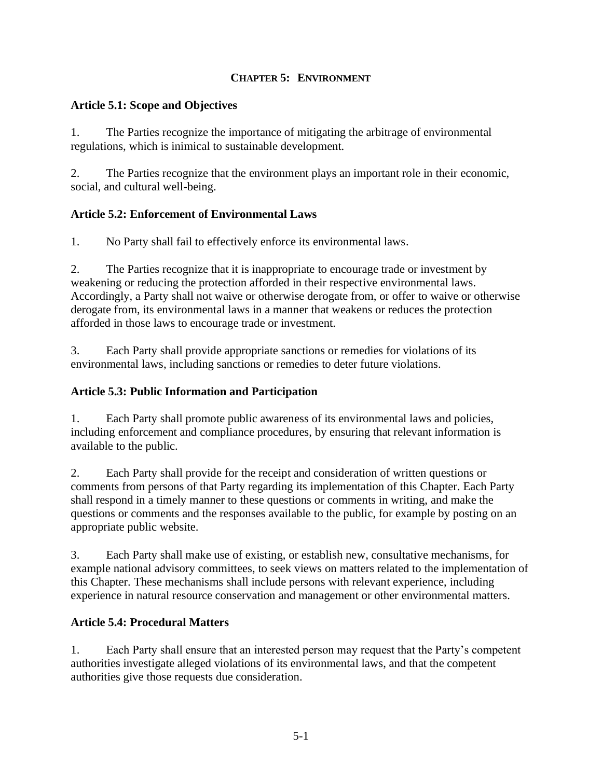#### **CHAPTER 5: ENVIRONMENT**

#### **Article 5.1: Scope and Objectives**

1. The Parties recognize the importance of mitigating the arbitrage of environmental regulations, which is inimical to sustainable development.

2. The Parties recognize that the environment plays an important role in their economic, social, and cultural well-being.

#### **Article 5.2: Enforcement of Environmental Laws**

1. No Party shall fail to effectively enforce its environmental laws.

2. The Parties recognize that it is inappropriate to encourage trade or investment by weakening or reducing the protection afforded in their respective environmental laws. Accordingly, a Party shall not waive or otherwise derogate from, or offer to waive or otherwise derogate from, its environmental laws in a manner that weakens or reduces the protection afforded in those laws to encourage trade or investment.

3. Each Party shall provide appropriate sanctions or remedies for violations of its environmental laws, including sanctions or remedies to deter future violations.

#### **Article 5.3: Public Information and Participation**

1. Each Party shall promote public awareness of its environmental laws and policies, including enforcement and compliance procedures, by ensuring that relevant information is available to the public.

2. Each Party shall provide for the receipt and consideration of written questions or comments from persons of that Party regarding its implementation of this Chapter. Each Party shall respond in a timely manner to these questions or comments in writing, and make the questions or comments and the responses available to the public, for example by posting on an appropriate public website.

3. Each Party shall make use of existing, or establish new, consultative mechanisms, for example national advisory committees, to seek views on matters related to the implementation of this Chapter. These mechanisms shall include persons with relevant experience, including experience in natural resource conservation and management or other environmental matters.

#### **Article 5.4: Procedural Matters**

1. Each Party shall ensure that an interested person may request that the Party's competent authorities investigate alleged violations of its environmental laws, and that the competent authorities give those requests due consideration.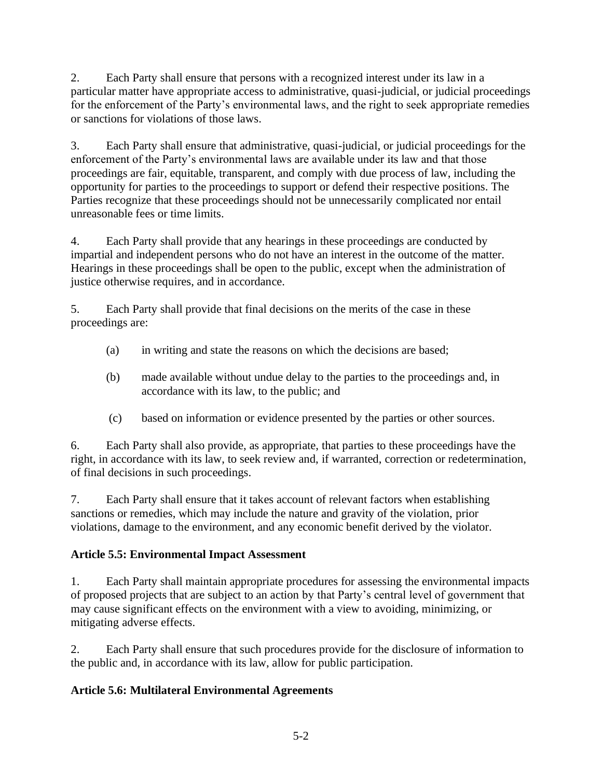2. Each Party shall ensure that persons with a recognized interest under its law in a particular matter have appropriate access to administrative, quasi-judicial, or judicial proceedings for the enforcement of the Party's environmental laws, and the right to seek appropriate remedies or sanctions for violations of those laws.

3. Each Party shall ensure that administrative, quasi-judicial, or judicial proceedings for the enforcement of the Party's environmental laws are available under its law and that those proceedings are fair, equitable, transparent, and comply with due process of law, including the opportunity for parties to the proceedings to support or defend their respective positions. The Parties recognize that these proceedings should not be unnecessarily complicated nor entail unreasonable fees or time limits.

4. Each Party shall provide that any hearings in these proceedings are conducted by impartial and independent persons who do not have an interest in the outcome of the matter. Hearings in these proceedings shall be open to the public, except when the administration of justice otherwise requires, and in accordance.

5. Each Party shall provide that final decisions on the merits of the case in these proceedings are:

- (a) in writing and state the reasons on which the decisions are based;
- (b) made available without undue delay to the parties to the proceedings and, in accordance with its law, to the public; and
- (c) based on information or evidence presented by the parties or other sources.

6. Each Party shall also provide, as appropriate, that parties to these proceedings have the right, in accordance with its law, to seek review and, if warranted, correction or redetermination, of final decisions in such proceedings.

7. Each Party shall ensure that it takes account of relevant factors when establishing sanctions or remedies, which may include the nature and gravity of the violation, prior violations, damage to the environment, and any economic benefit derived by the violator.

# **Article 5.5: Environmental Impact Assessment**

1. Each Party shall maintain appropriate procedures for assessing the environmental impacts of proposed projects that are subject to an action by that Party's central level of government that may cause significant effects on the environment with a view to avoiding, minimizing, or mitigating adverse effects.

2. Each Party shall ensure that such procedures provide for the disclosure of information to the public and, in accordance with its law, allow for public participation.

# **Article 5.6: Multilateral Environmental Agreements**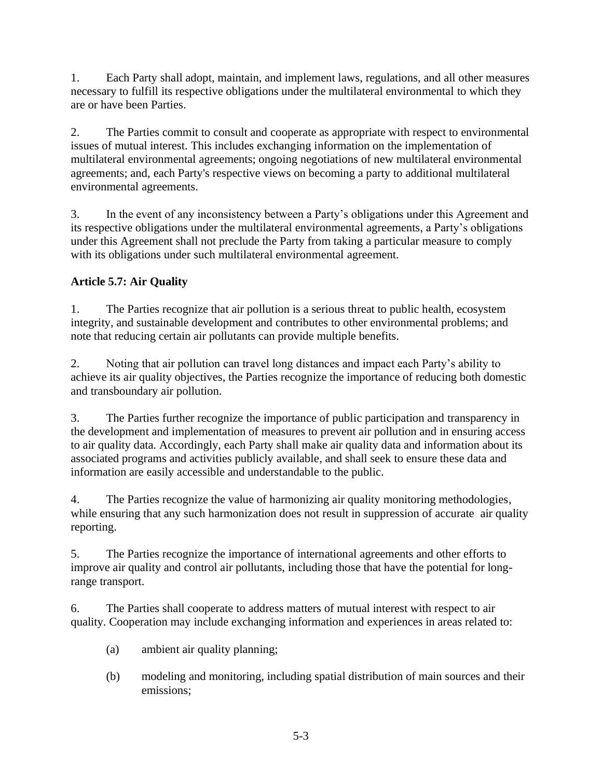1. Each Party shall adopt, maintain, and implement laws, regulations, and all other measures necessary to fulfill its respective obligations under the multilateral environmental to which they are or have been Parties.

2. The Parties commit to consult and cooperate as appropriate with respect to environmental issues of mutual interest. This includes exchanging information on the implementation of multilateral environmental agreements; ongoing negotiations of new multilateral environmental agreements; and, each Party's respective views on becoming a party to additional multilateral environmental agreements.

3. In the event of any inconsistency between a Party's obligations under this Agreement and its respective obligations under the multilateral environmental agreements, a Party's obligations under this Agreement shall not preclude the Party from taking a particular measure to comply with its obligations under such multilateral environmental agreement.

# **Article 5.7: Air Quality**

1. The Parties recognize that air pollution is a serious threat to public health, ecosystem integrity, and sustainable development and contributes to other environmental problems; and note that reducing certain air pollutants can provide multiple benefits.

2. Noting that air pollution can travel long distances and impact each Party's ability to achieve its air quality objectives, the Parties recognize the importance of reducing both domestic and transboundary air pollution.

3. The Parties further recognize the importance of public participation and transparency in the development and implementation of measures to prevent air pollution and in ensuring access to air quality data. Accordingly, each Party shall make air quality data and information about its associated programs and activities publicly available, and shall seek to ensure these data and information are easily accessible and understandable to the public.

4. The Parties recognize the value of harmonizing air quality monitoring methodologies, while ensuring that any such harmonization does not result in suppression of accurate air quality reporting.

5. The Parties recognize the importance of international agreements and other efforts to improve air quality and control air pollutants, including those that have the potential for longrange transport.

6. The Parties shall cooperate to address matters of mutual interest with respect to air quality. Cooperation may include exchanging information and experiences in areas related to:

- (a) ambient air quality planning;
- (b) modeling and monitoring, including spatial distribution of main sources and their emissions;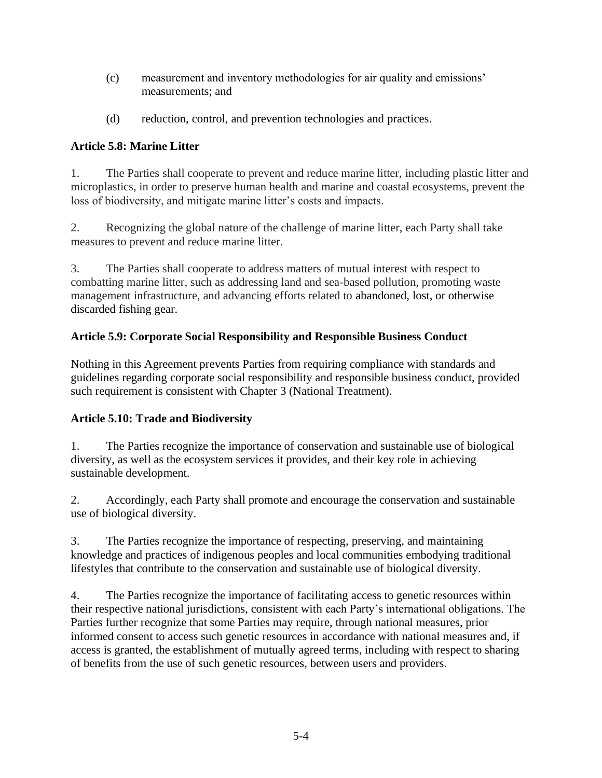- (c) measurement and inventory methodologies for air quality and emissions' measurements; and
- (d) reduction, control, and prevention technologies and practices.

### **Article 5.8: Marine Litter**

1. The Parties shall cooperate to prevent and reduce marine litter, including plastic litter and microplastics, in order to preserve human health and marine and coastal ecosystems, prevent the loss of biodiversity, and mitigate marine litter's costs and impacts.

2. Recognizing the global nature of the challenge of marine litter, each Party shall take measures to prevent and reduce marine litter.

3. The Parties shall cooperate to address matters of mutual interest with respect to combatting marine litter, such as addressing land and sea-based pollution, promoting waste management infrastructure, and advancing efforts related to abandoned, lost, or otherwise discarded fishing gear.

# **Article 5.9: Corporate Social Responsibility and Responsible Business Conduct**

Nothing in this Agreement prevents Parties from requiring compliance with standards and guidelines regarding corporate social responsibility and responsible business conduct, provided such requirement is consistent with Chapter 3 (National Treatment).

### **Article 5.10: Trade and Biodiversity**

1. The Parties recognize the importance of conservation and sustainable use of biological diversity, as well as the ecosystem services it provides, and their key role in achieving sustainable development.

2. Accordingly, each Party shall promote and encourage the conservation and sustainable use of biological diversity.

3. The Parties recognize the importance of respecting, preserving, and maintaining knowledge and practices of indigenous peoples and local communities embodying traditional lifestyles that contribute to the conservation and sustainable use of biological diversity.

4. The Parties recognize the importance of facilitating access to genetic resources within their respective national jurisdictions, consistent with each Party's international obligations. The Parties further recognize that some Parties may require, through national measures, prior informed consent to access such genetic resources in accordance with national measures and, if access is granted, the establishment of mutually agreed terms, including with respect to sharing of benefits from the use of such genetic resources, between users and providers.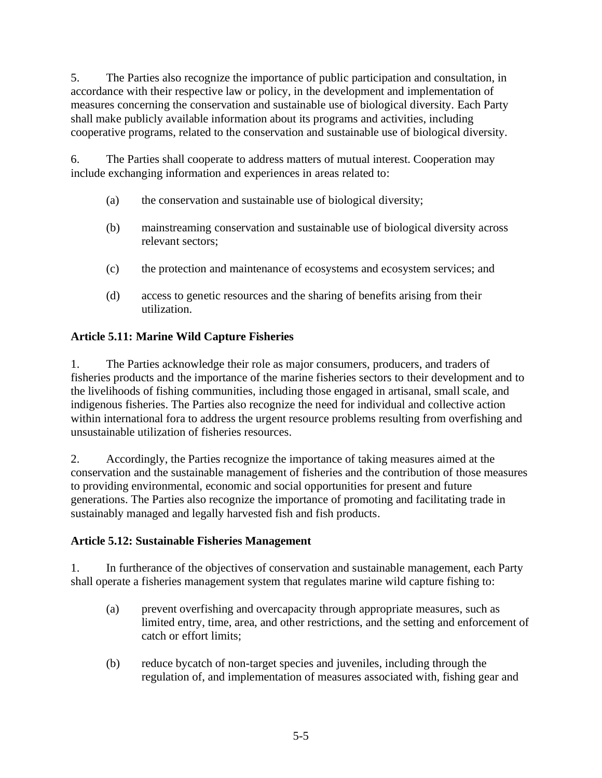5. The Parties also recognize the importance of public participation and consultation, in accordance with their respective law or policy, in the development and implementation of measures concerning the conservation and sustainable use of biological diversity. Each Party shall make publicly available information about its programs and activities, including cooperative programs, related to the conservation and sustainable use of biological diversity.

6. The Parties shall cooperate to address matters of mutual interest. Cooperation may include exchanging information and experiences in areas related to:

- (a) the conservation and sustainable use of biological diversity;
- (b) mainstreaming conservation and sustainable use of biological diversity across relevant sectors;
- (c) the protection and maintenance of ecosystems and ecosystem services; and
- (d) access to genetic resources and the sharing of benefits arising from their utilization.

# **Article 5.11: Marine Wild Capture Fisheries**

1. The Parties acknowledge their role as major consumers, producers, and traders of fisheries products and the importance of the marine fisheries sectors to their development and to the livelihoods of fishing communities, including those engaged in artisanal, small scale, and indigenous fisheries. The Parties also recognize the need for individual and collective action within international fora to address the urgent resource problems resulting from overfishing and unsustainable utilization of fisheries resources.

2. Accordingly, the Parties recognize the importance of taking measures aimed at the conservation and the sustainable management of fisheries and the contribution of those measures to providing environmental, economic and social opportunities for present and future generations. The Parties also recognize the importance of promoting and facilitating trade in sustainably managed and legally harvested fish and fish products.

### **Article 5.12: Sustainable Fisheries Management**

1. In furtherance of the objectives of conservation and sustainable management, each Party shall operate a fisheries management system that regulates marine wild capture fishing to:

- (a) prevent overfishing and overcapacity through appropriate measures, such as limited entry, time, area, and other restrictions, and the setting and enforcement of catch or effort limits;
- (b) reduce bycatch of non-target species and juveniles, including through the regulation of, and implementation of measures associated with, fishing gear and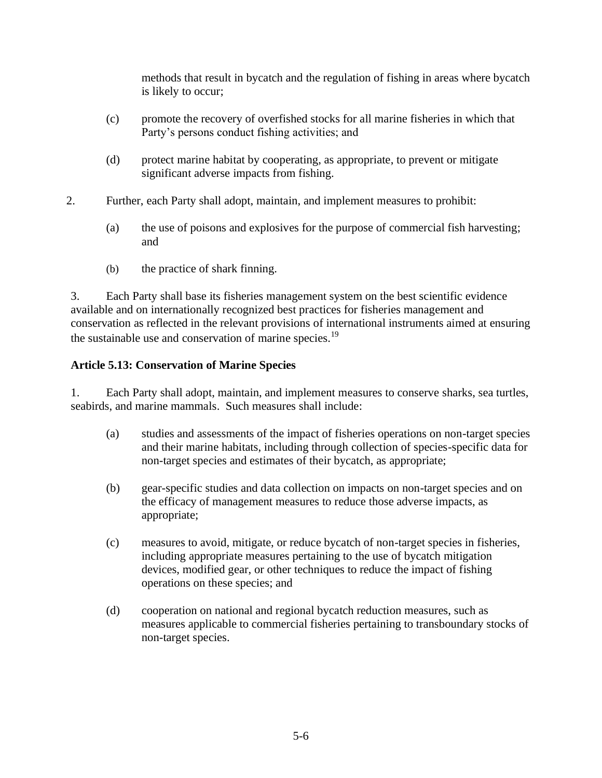methods that result in bycatch and the regulation of fishing in areas where bycatch is likely to occur;

- (c) promote the recovery of overfished stocks for all marine fisheries in which that Party's persons conduct fishing activities; and
- (d) protect marine habitat by cooperating, as appropriate, to prevent or mitigate significant adverse impacts from fishing.
- 2. Further, each Party shall adopt, maintain, and implement measures to prohibit:
	- (a) the use of poisons and explosives for the purpose of commercial fish harvesting; and
	- (b) the practice of shark finning.

3. Each Party shall base its fisheries management system on the best scientific evidence available and on internationally recognized best practices for fisheries management and conservation as reflected in the relevant provisions of international instruments aimed at ensuring the sustainable use and conservation of marine species.<sup>19</sup>

#### **Article 5.13: Conservation of Marine Species**

1. Each Party shall adopt, maintain, and implement measures to conserve sharks, sea turtles, seabirds, and marine mammals. Such measures shall include:

- (a) studies and assessments of the impact of fisheries operations on non-target species and their marine habitats, including through collection of species-specific data for non-target species and estimates of their bycatch, as appropriate;
- (b) gear-specific studies and data collection on impacts on non-target species and on the efficacy of management measures to reduce those adverse impacts, as appropriate;
- (c) measures to avoid, mitigate, or reduce bycatch of non-target species in fisheries, including appropriate measures pertaining to the use of bycatch mitigation devices, modified gear, or other techniques to reduce the impact of fishing operations on these species; and
- (d) cooperation on national and regional bycatch reduction measures, such as measures applicable to commercial fisheries pertaining to transboundary stocks of non-target species.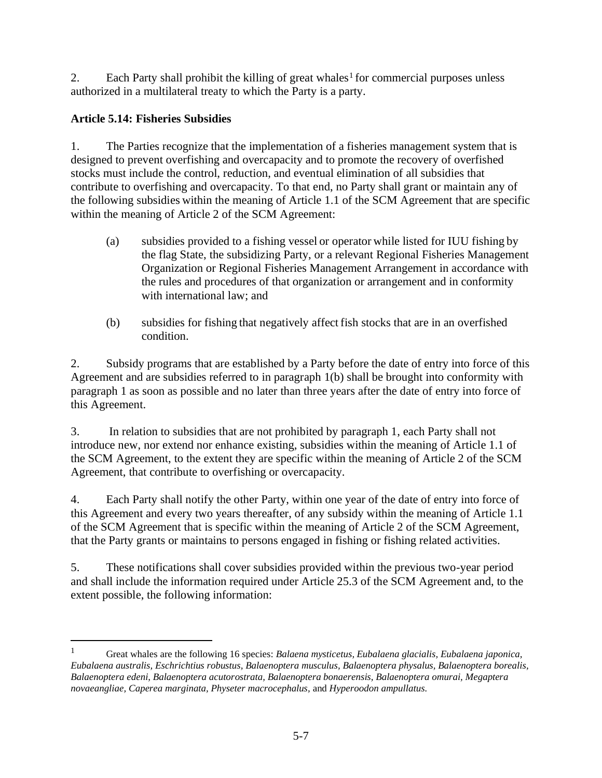2. Each Party shall prohibit the killing of great whales<sup>1</sup> for commercial purposes unless authorized in a multilateral treaty to which the Party is a party.

# **Article 5.14: Fisheries Subsidies**

1. The Parties recognize that the implementation of a fisheries management system that is designed to prevent overfishing and overcapacity and to promote the recovery of overfished stocks must include the control, reduction, and eventual elimination of all subsidies that contribute to overfishing and overcapacity. To that end, no Party shall grant or maintain any of the following subsidies within the meaning of Article 1.1 of the SCM Agreement that are specific within the meaning of Article 2 of the SCM Agreement:

- (a) subsidies provided to a fishing vessel or operator while listed for IUU fishing by the flag State, the subsidizing Party, or a relevant Regional Fisheries Management Organization or Regional Fisheries Management Arrangement in accordance with the rules and procedures of that organization or arrangement and in conformity with international law; and
- (b) subsidies for fishing that negatively affect fish stocks that are in an overfished condition.

2. Subsidy programs that are established by a Party before the date of entry into force of this Agreement and are subsidies referred to in paragraph 1(b) shall be brought into conformity with paragraph 1 as soon as possible and no later than three years after the date of entry into force of this Agreement.

3. In relation to subsidies that are not prohibited by paragraph 1, each Party shall not introduce new, nor extend nor enhance existing, subsidies within the meaning of Article 1.1 of the SCM Agreement, to the extent they are specific within the meaning of Article 2 of the SCM Agreement, that contribute to overfishing or overcapacity.

4. Each Party shall notify the other Party, within one year of the date of entry into force of this Agreement and every two years thereafter, of any subsidy within the meaning of Article 1.1 of the SCM Agreement that is specific within the meaning of Article 2 of the SCM Agreement, that the Party grants or maintains to persons engaged in fishing or fishing related activities.

5. These notifications shall cover subsidies provided within the previous two-year period and shall include the information required under Article 25.3 of the SCM Agreement and, to the extent possible, the following information:

<sup>1</sup> Great whales are the following 16 species: *Balaena mysticetus, Eubalaena glacialis, Eubalaena japonica, Eubalaena australis, Eschrichtius robustus, Balaenoptera musculus, Balaenoptera physalus, Balaenoptera borealis, Balaenoptera edeni, Balaenoptera acutorostrata, Balaenoptera bonaerensis, Balaenoptera omurai, Megaptera novaeangliae, Caperea marginata, Physeter macrocephalus,* and *Hyperoodon ampullatus.*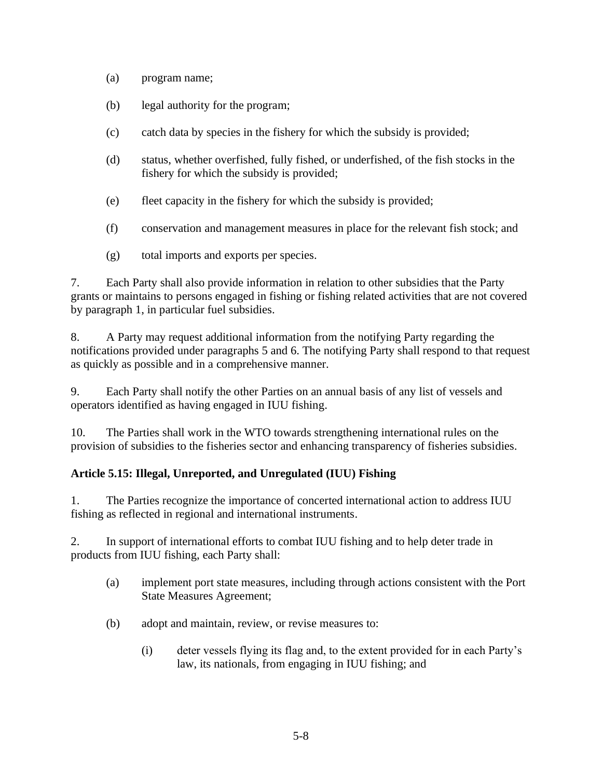- (a) program name;
- (b) legal authority for the program;
- (c) catch data by species in the fishery for which the subsidy is provided;
- (d) status, whether overfished, fully fished, or underfished, of the fish stocks in the fishery for which the subsidy is provided;
- (e) fleet capacity in the fishery for which the subsidy is provided;
- (f) conservation and management measures in place for the relevant fish stock; and
- (g) total imports and exports per species.

7. Each Party shall also provide information in relation to other subsidies that the Party grants or maintains to persons engaged in fishing or fishing related activities that are not covered by paragraph 1, in particular fuel subsidies.

8. A Party may request additional information from the notifying Party regarding the notifications provided under paragraphs 5 and 6. The notifying Party shall respond to that request as quickly as possible and in a comprehensive manner.

9. Each Party shall notify the other Parties on an annual basis of any list of vessels and operators identified as having engaged in IUU fishing.

10. The Parties shall work in the WTO towards strengthening international rules on the provision of subsidies to the fisheries sector and enhancing transparency of fisheries subsidies.

### **Article 5.15: Illegal, Unreported, and Unregulated (IUU) Fishing**

1. The Parties recognize the importance of concerted international action to address IUU fishing as reflected in regional and international instruments.

2. In support of international efforts to combat IUU fishing and to help deter trade in products from IUU fishing, each Party shall:

- (a) implement port state measures, including through actions consistent with the Port State Measures Agreement;
- (b) adopt and maintain, review, or revise measures to:
	- (i) deter vessels flying its flag and, to the extent provided for in each Party's law, its nationals, from engaging in IUU fishing; and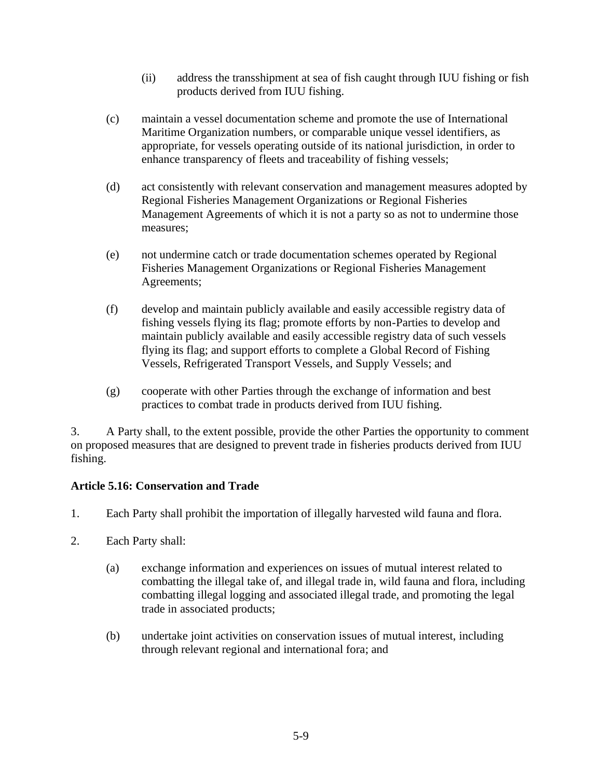- (ii) address the transshipment at sea of fish caught through IUU fishing or fish products derived from IUU fishing.
- (c) maintain a vessel documentation scheme and promote the use of International Maritime Organization numbers, or comparable unique vessel identifiers, as appropriate, for vessels operating outside of its national jurisdiction, in order to enhance transparency of fleets and traceability of fishing vessels;
- (d) act consistently with relevant conservation and management measures adopted by Regional Fisheries Management Organizations or Regional Fisheries Management Agreements of which it is not a party so as not to undermine those measures;
- (e) not undermine catch or trade documentation schemes operated by Regional Fisheries Management Organizations or Regional Fisheries Management Agreements;
- (f) develop and maintain publicly available and easily accessible registry data of fishing vessels flying its flag; promote efforts by non-Parties to develop and maintain publicly available and easily accessible registry data of such vessels flying its flag; and support efforts to complete a Global Record of Fishing Vessels, Refrigerated Transport Vessels, and Supply Vessels; and
- (g) cooperate with other Parties through the exchange of information and best practices to combat trade in products derived from IUU fishing.

3. A Party shall, to the extent possible, provide the other Parties the opportunity to comment on proposed measures that are designed to prevent trade in fisheries products derived from IUU fishing.

### **Article 5.16: Conservation and Trade**

- 1. Each Party shall prohibit the importation of illegally harvested wild fauna and flora.
- 2. Each Party shall:
	- (a) exchange information and experiences on issues of mutual interest related to combatting the illegal take of, and illegal trade in, wild fauna and flora, including combatting illegal logging and associated illegal trade, and promoting the legal trade in associated products;
	- (b) undertake joint activities on conservation issues of mutual interest, including through relevant regional and international fora; and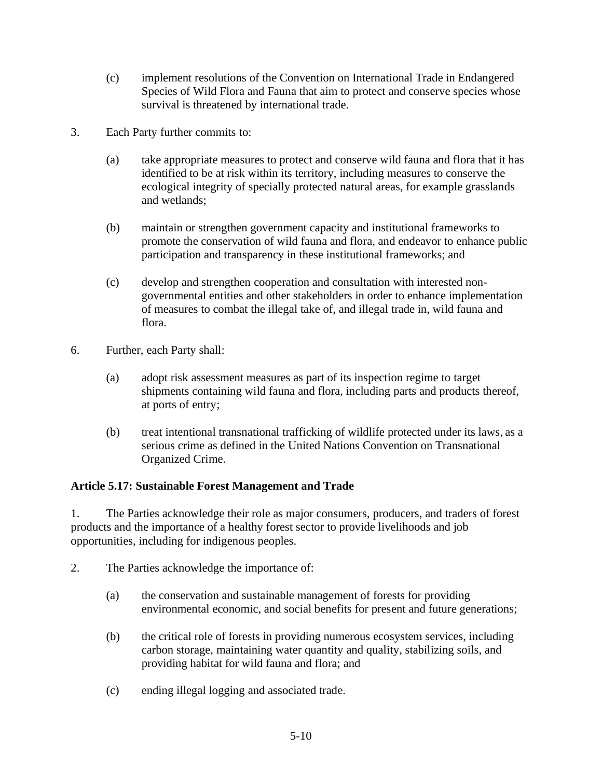- (c) implement resolutions of the Convention on International Trade in Endangered Species of Wild Flora and Fauna that aim to protect and conserve species whose survival is threatened by international trade.
- 3. Each Party further commits to:
	- (a) take appropriate measures to protect and conserve wild fauna and flora that it has identified to be at risk within its territory, including measures to conserve the ecological integrity of specially protected natural areas, for example grasslands and wetlands;
	- (b) maintain or strengthen government capacity and institutional frameworks to promote the conservation of wild fauna and flora, and endeavor to enhance public participation and transparency in these institutional frameworks; and
	- (c) develop and strengthen cooperation and consultation with interested nongovernmental entities and other stakeholders in order to enhance implementation of measures to combat the illegal take of, and illegal trade in, wild fauna and flora.
- 6. Further, each Party shall:
	- (a) adopt risk assessment measures as part of its inspection regime to target shipments containing wild fauna and flora, including parts and products thereof, at ports of entry;
	- (b) treat intentional transnational trafficking of wildlife protected under its laws, as a serious crime as defined in the United Nations Convention on Transnational Organized Crime.

### **Article 5.17: Sustainable Forest Management and Trade**

1. The Parties acknowledge their role as major consumers, producers, and traders of forest products and the importance of a healthy forest sector to provide livelihoods and job opportunities, including for indigenous peoples.

- 2. The Parties acknowledge the importance of:
	- (a) the conservation and sustainable management of forests for providing environmental economic, and social benefits for present and future generations;
	- (b) the critical role of forests in providing numerous ecosystem services, including carbon storage, maintaining water quantity and quality, stabilizing soils, and providing habitat for wild fauna and flora; and
	- (c) ending illegal logging and associated trade.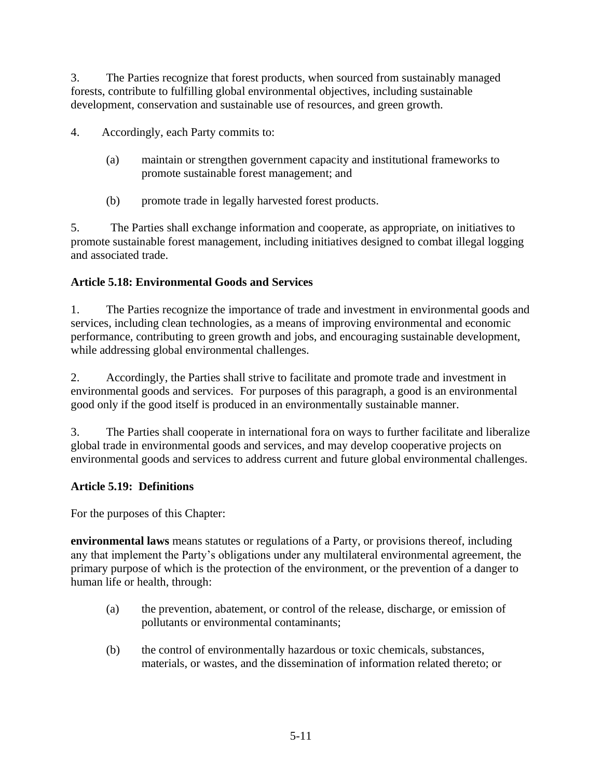3. The Parties recognize that forest products, when sourced from sustainably managed forests, contribute to fulfilling global environmental objectives, including sustainable development, conservation and sustainable use of resources, and green growth.

4. Accordingly, each Party commits to:

- (a) maintain or strengthen government capacity and institutional frameworks to promote sustainable forest management; and
- (b) promote trade in legally harvested forest products.

5. The Parties shall exchange information and cooperate, as appropriate, on initiatives to promote sustainable forest management, including initiatives designed to combat illegal logging and associated trade.

### **Article 5.18: Environmental Goods and Services**

1. The Parties recognize the importance of trade and investment in environmental goods and services, including clean technologies, as a means of improving environmental and economic performance, contributing to green growth and jobs, and encouraging sustainable development, while addressing global environmental challenges.

2. Accordingly, the Parties shall strive to facilitate and promote trade and investment in environmental goods and services. For purposes of this paragraph, a good is an environmental good only if the good itself is produced in an environmentally sustainable manner.

3. The Parties shall cooperate in international fora on ways to further facilitate and liberalize global trade in environmental goods and services, and may develop cooperative projects on environmental goods and services to address current and future global environmental challenges.

### **Article 5.19: Definitions**

For the purposes of this Chapter:

**environmental laws** means statutes or regulations of a Party, or provisions thereof, including any that implement the Party's obligations under any multilateral environmental agreement, the primary purpose of which is the protection of the environment, or the prevention of a danger to human life or health, through:

- (a) the prevention, abatement, or control of the release, discharge, or emission of pollutants or environmental contaminants;
- (b) the control of environmentally hazardous or toxic chemicals, substances, materials, or wastes, and the dissemination of information related thereto; or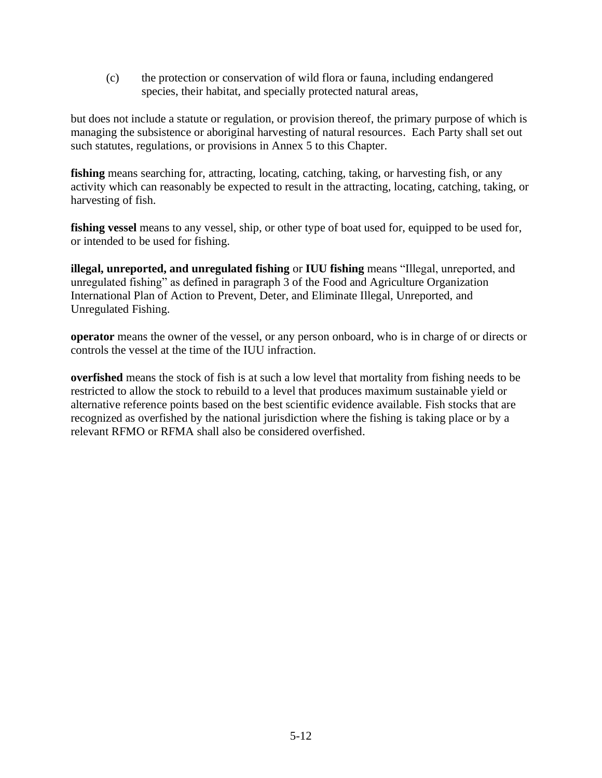(c) the protection or conservation of wild flora or fauna, including endangered species, their habitat, and specially protected natural areas,

but does not include a statute or regulation, or provision thereof, the primary purpose of which is managing the subsistence or aboriginal harvesting of natural resources. Each Party shall set out such statutes, regulations, or provisions in Annex 5 to this Chapter.

fishing means searching for, attracting, locating, catching, taking, or harvesting fish, or any activity which can reasonably be expected to result in the attracting, locating, catching, taking, or harvesting of fish.

**fishing vessel** means to any vessel, ship, or other type of boat used for, equipped to be used for, or intended to be used for fishing.

**illegal, unreported, and unregulated fishing** or **IUU fishing** means "Illegal, unreported, and unregulated fishing" as defined in paragraph 3 of the Food and Agriculture Organization International Plan of Action to Prevent, Deter, and Eliminate Illegal, Unreported, and Unregulated Fishing.

**operator** means the owner of the vessel, or any person onboard, who is in charge of or directs or controls the vessel at the time of the IUU infraction.

**overfished** means the stock of fish is at such a low level that mortality from fishing needs to be restricted to allow the stock to rebuild to a level that produces maximum sustainable yield or alternative reference points based on the best scientific evidence available. Fish stocks that are recognized as overfished by the national jurisdiction where the fishing is taking place or by a relevant RFMO or RFMA shall also be considered overfished.